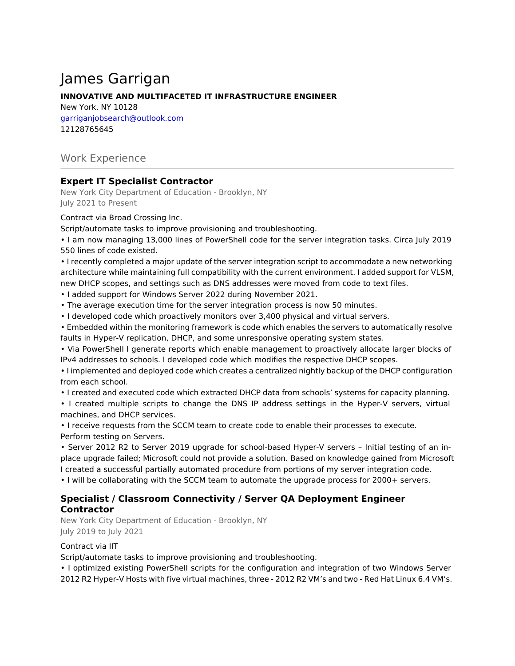# James Garrigan

#### **INNOVATIVE AND MULTIFACETED IT INFRASTRUCTURE ENGINEER**

New York, NY 10128 garriganjobsearch@outlook.com 12128765645

# Work Experience

# **Expert IT Specialist Contractor**

New York City Department of Education - Brooklyn, NY July 2021 to Present

#### Contract via Broad Crossing Inc.

Script/automate tasks to improve provisioning and troubleshooting.

• I am now managing 13,000 lines of PowerShell code for the server integration tasks. Circa July 2019 550 lines of code existed.

• I recently completed a major update of the server integration script to accommodate a new networking architecture while maintaining full compatibility with the current environment. I added support for VLSM, new DHCP scopes, and settings such as DNS addresses were moved from code to text files.

• I added support for Windows Server 2022 during November 2021.

- The average execution time for the server integration process is now 50 minutes.
- I developed code which proactively monitors over 3,400 physical and virtual servers.

• Embedded within the monitoring framework is code which enables the servers to automatically resolve faults in Hyper-V replication, DHCP, and some unresponsive operating system states.

• Via PowerShell I generate reports which enable management to proactively allocate larger blocks of IPv4 addresses to schools. I developed code which modifies the respective DHCP scopes.

• I implemented and deployed code which creates a centralized nightly backup of the DHCP configuration from each school.

• I created and executed code which extracted DHCP data from schools' systems for capacity planning.

• I created multiple scripts to change the DNS IP address settings in the Hyper-V servers, virtual machines, and DHCP services.

• I receive requests from the SCCM team to create code to enable their processes to execute. Perform testing on Servers.

• Server 2012 R2 to Server 2019 upgrade for school-based Hyper-V servers – Initial testing of an inplace upgrade failed; Microsoft could not provide a solution. Based on knowledge gained from Microsoft I created a successful partially automated procedure from portions of my server integration code.

• I will be collaborating with the SCCM team to automate the upgrade process for 2000+ servers.

# **Specialist / Classroom Connectivity / Server QA Deployment Engineer Contractor**

New York City Department of Education - Brooklyn, NY July 2019 to July 2021

#### Contract via IIT

Script/automate tasks to improve provisioning and troubleshooting.

• I optimized existing PowerShell scripts for the configuration and integration of two Windows Server 2012 R2 Hyper-V Hosts with five virtual machines, three - 2012 R2 VM's and two - Red Hat Linux 6.4 VM's.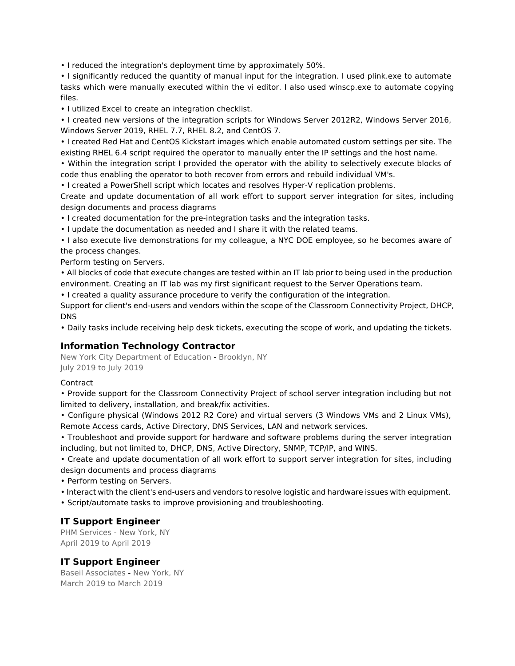• I reduced the integration's deployment time by approximately 50%.

• I significantly reduced the quantity of manual input for the integration. I used plink.exe to automate tasks which were manually executed within the vi editor. I also used winscp.exe to automate copying files.

• I utilized Excel to create an integration checklist.

• I created new versions of the integration scripts for Windows Server 2012R2, Windows Server 2016, Windows Server 2019, RHEL 7.7, RHEL 8.2, and CentOS 7.

• I created Red Hat and CentOS Kickstart images which enable automated custom settings per site. The existing RHEL 6.4 script required the operator to manually enter the IP settings and the host name.

• Within the integration script I provided the operator with the ability to selectively execute blocks of code thus enabling the operator to both recover from errors and rebuild individual VM's.

• I created a PowerShell script which locates and resolves Hyper-V replication problems.

Create and update documentation of all work effort to support server integration for sites, including design documents and process diagrams

• I created documentation for the pre-integration tasks and the integration tasks.

• I update the documentation as needed and I share it with the related teams.

• I also execute live demonstrations for my colleague, a NYC DOE employee, so he becomes aware of the process changes.

Perform testing on Servers.

• All blocks of code that execute changes are tested within an IT lab prior to being used in the production environment. Creating an IT lab was my first significant request to the Server Operations team.

• I created a quality assurance procedure to verify the configuration of the integration.

Support for client's end-users and vendors within the scope of the Classroom Connectivity Project, DHCP, DNS

• Daily tasks include receiving help desk tickets, executing the scope of work, and updating the tickets.

#### **Information Technology Contractor**

New York City Department of Education - Brooklyn, NY July 2019 to July 2019

#### **Contract**

• Provide support for the Classroom Connectivity Project of school server integration including but not limited to delivery, installation, and break/fix activities.

• Configure physical (Windows 2012 R2 Core) and virtual servers (3 Windows VMs and 2 Linux VMs), Remote Access cards, Active Directory, DNS Services, LAN and network services.

• Troubleshoot and provide support for hardware and software problems during the server integration including, but not limited to, DHCP, DNS, Active Directory, SNMP, TCP/IP, and WINS.

• Create and update documentation of all work effort to support server integration for sites, including design documents and process diagrams

• Perform testing on Servers.

• Interact with the client's end-users and vendors to resolve logistic and hardware issues with equipment.

• Script/automate tasks to improve provisioning and troubleshooting.

#### **IT Support Engineer**

PHM Services - New York, NY April 2019 to April 2019

#### **IT Support Engineer**

Baseil Associates - New York, NY March 2019 to March 2019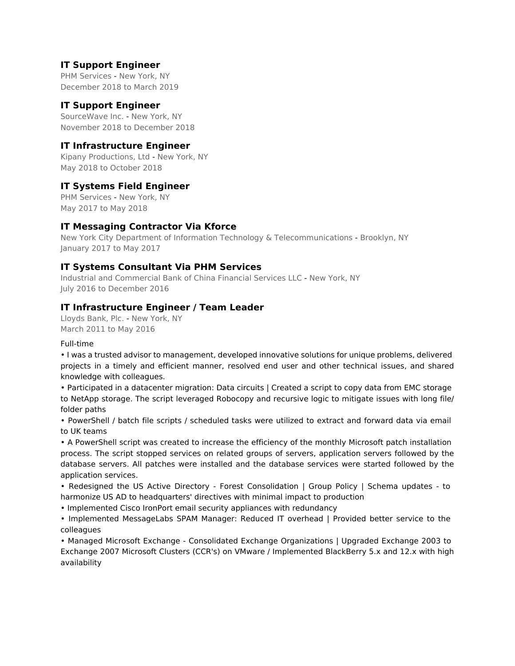# **IT Support Engineer**

PHM Services - New York, NY December 2018 to March 2019

#### **IT Support Engineer**

SourceWave Inc. - New York, NY November 2018 to December 2018

#### **IT Infrastructure Engineer**

Kipany Productions, Ltd - New York, NY May 2018 to October 2018

#### **IT Systems Field Engineer**

PHM Services - New York, NY May 2017 to May 2018

#### **IT Messaging Contractor Via Kforce**

New York City Department of Information Technology & Telecommunications - Brooklyn, NY January 2017 to May 2017

#### **IT Systems Consultant Via PHM Services**

Industrial and Commercial Bank of China Financial Services LLC - New York, NY July 2016 to December 2016

#### **IT Infrastructure Engineer / Team Leader**

Lloyds Bank, Plc. - New York, NY March 2011 to May 2016

#### Full-time

• I was a trusted advisor to management, developed innovative solutions for unique problems, delivered projects in a timely and efficient manner, resolved end user and other technical issues, and shared knowledge with colleagues.

• Participated in a datacenter migration: Data circuits | Created a script to copy data from EMC storage to NetApp storage. The script leveraged Robocopy and recursive logic to mitigate issues with long file/ folder paths

• PowerShell / batch file scripts / scheduled tasks were utilized to extract and forward data via email to UK teams

• A PowerShell script was created to increase the efficiency of the monthly Microsoft patch installation process. The script stopped services on related groups of servers, application servers followed by the database servers. All patches were installed and the database services were started followed by the application services.

• Redesigned the US Active Directory - Forest Consolidation | Group Policy | Schema updates - to harmonize US AD to headquarters' directives with minimal impact to production

• Implemented Cisco IronPort email security appliances with redundancy

• Implemented MessageLabs SPAM Manager: Reduced IT overhead | Provided better service to the colleagues

• Managed Microsoft Exchange - Consolidated Exchange Organizations | Upgraded Exchange 2003 to Exchange 2007 Microsoft Clusters (CCR's) on VMware / Implemented BlackBerry 5.x and 12.x with high availability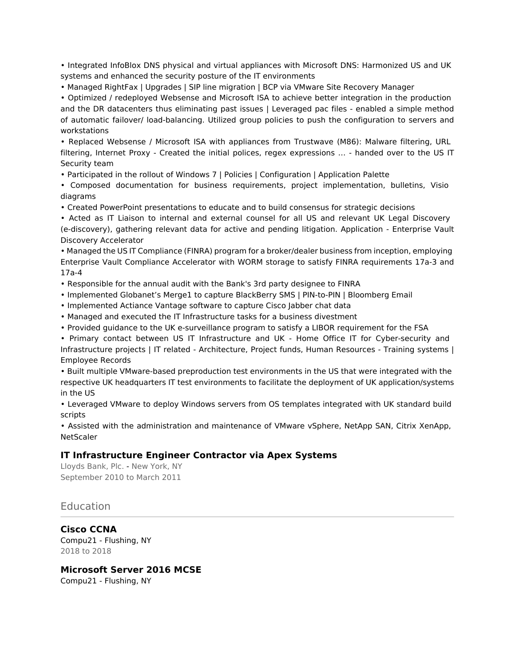• Integrated InfoBlox DNS physical and virtual appliances with Microsoft DNS: Harmonized US and UK systems and enhanced the security posture of the IT environments

• Managed RightFax | Upgrades | SIP line migration | BCP via VMware Site Recovery Manager

• Optimized / redeployed Websense and Microsoft ISA to achieve better integration in the production and the DR datacenters thus eliminating past issues | Leveraged pac files - enabled a simple method of automatic failover/ load-balancing. Utilized group policies to push the configuration to servers and workstations

• Replaced Websense / Microsoft ISA with appliances from Trustwave (M86): Malware filtering, URL filtering, Internet Proxy - Created the initial polices, regex expressions … - handed over to the US IT Security team

• Participated in the rollout of Windows 7 | Policies | Configuration | Application Palette

• Composed documentation for business requirements, project implementation, bulletins, Visio diagrams

• Created PowerPoint presentations to educate and to build consensus for strategic decisions

• Acted as IT Liaison to internal and external counsel for all US and relevant UK Legal Discovery (e-discovery), gathering relevant data for active and pending litigation. Application - Enterprise Vault Discovery Accelerator

• Managed the US IT Compliance (FINRA) program for a broker/dealer business from inception, employing Enterprise Vault Compliance Accelerator with WORM storage to satisfy FINRA requirements 17a-3 and 17a-4

• Responsible for the annual audit with the Bank's 3rd party designee to FINRA

• Implemented Globanet's Merge1 to capture BlackBerry SMS | PIN-to-PIN | Bloomberg Email

• Implemented Actiance Vantage software to capture Cisco Jabber chat data

• Managed and executed the IT Infrastructure tasks for a business divestment

• Provided guidance to the UK e-surveillance program to satisfy a LIBOR requirement for the FSA

• Primary contact between US IT Infrastructure and UK - Home Office IT for Cyber-security and Infrastructure projects | IT related - Architecture, Project funds, Human Resources - Training systems | Employee Records

• Built multiple VMware-based preproduction test environments in the US that were integrated with the respective UK headquarters IT test environments to facilitate the deployment of UK application/systems in the US

• Leveraged VMware to deploy Windows servers from OS templates integrated with UK standard build scripts

• Assisted with the administration and maintenance of VMware vSphere, NetApp SAN, Citrix XenApp, **NetScaler** 

#### **IT Infrastructure Engineer Contractor via Apex Systems**

Lloyds Bank, Plc. - New York, NY September 2010 to March 2011

# Education

**Cisco CCNA** Compu21 - Flushing, NY 2018 to 2018

# **Microsoft Server 2016 MCSE**

Compu21 - Flushing, NY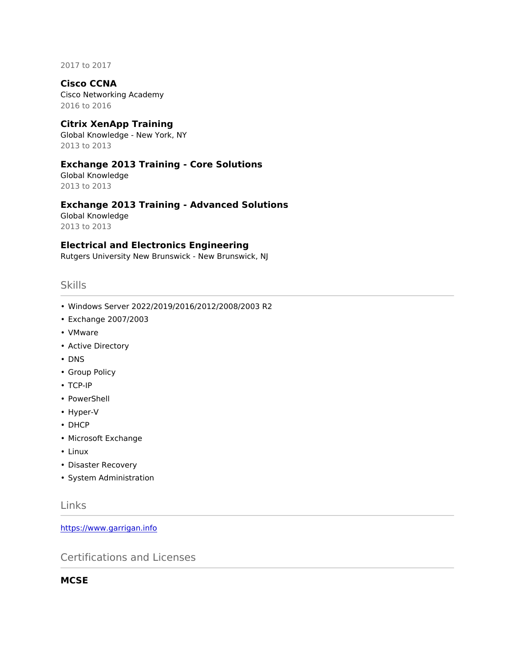2017 to 2017

#### **Cisco CCNA**

Cisco Networking Academy 2016 to 2016

#### **Citrix XenApp Training**

Global Knowledge - New York, NY 2013 to 2013

#### **Exchange 2013 Training - Core Solutions**

Global Knowledge 2013 to 2013

# **Exchange 2013 Training - Advanced Solutions**

Global Knowledge 2013 to 2013

#### **Electrical and Electronics Engineering**

Rutgers University New Brunswick - New Brunswick, NJ

#### **Skills**

- Windows Server 2022/2019/2016/2012/2008/2003 R2
- Exchange 2007/2003
- VMware
- Active Directory
- DNS
- Group Policy
- TCP-IP
- PowerShell
- Hyper-V
- DHCP
- Microsoft Exchange
- Linux
- Disaster Recovery
- System Administration

# Links

<https://www.garrigan.info>

Certifications and Licenses

**MCSE**